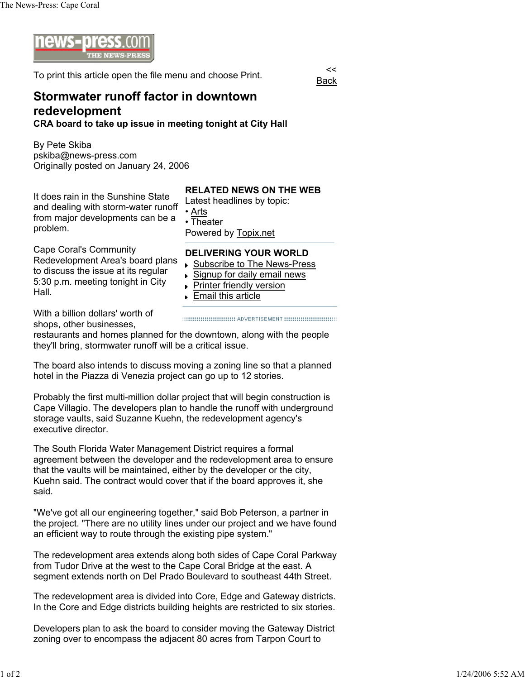

To print this article open the file menu and choose Print.

Back

## **Stormwater runoff factor in downtown redevelopment CRA board to take up issue in meeting tonight at City Hall**

By Pete Skiba pskiba@news-press.com Originally posted on January 24, 2006

It does rain in the Sunshine State and dealing with storm-water runoff from major developments can be a problem.

Cape Coral's Community Redevelopment Area's board plans to discuss the issue at its regular 5:30 p.m. meeting tonight in City Hall.

## **RELATED NEWS ON THE WEB**

Latest headlines by topic: • Arts • Theater Powered by Topix.net

## **DELIVERING YOUR WORLD**

- ▶ Subscribe to The News-Press
- Signup for daily email news k
- **Printer friendly version**
- **Email this article**

With a billion dollars' worth of shops, other businesses,

restaurants and homes planned for the downtown, along with the people they'll bring, stormwater runoff will be a critical issue.

The board also intends to discuss moving a zoning line so that a planned hotel in the Piazza di Venezia project can go up to 12 stories.

Probably the first multi-million dollar project that will begin construction is Cape Villagio. The developers plan to handle the runoff with underground storage vaults, said Suzanne Kuehn, the redevelopment agency's executive director.

The South Florida Water Management District requires a formal agreement between the developer and the redevelopment area to ensure that the vaults will be maintained, either by the developer or the city, Kuehn said. The contract would cover that if the board approves it, she said.

"We've got all our engineering together," said Bob Peterson, a partner in the project. "There are no utility lines under our project and we have found an efficient way to route through the existing pipe system."

The redevelopment area extends along both sides of Cape Coral Parkway from Tudor Drive at the west to the Cape Coral Bridge at the east. A segment extends north on Del Prado Boulevard to southeast 44th Street.

The redevelopment area is divided into Core, Edge and Gateway districts. In the Core and Edge districts building heights are restricted to six stories.

Developers plan to ask the board to consider moving the Gateway District zoning over to encompass the adjacent 80 acres from Tarpon Court to